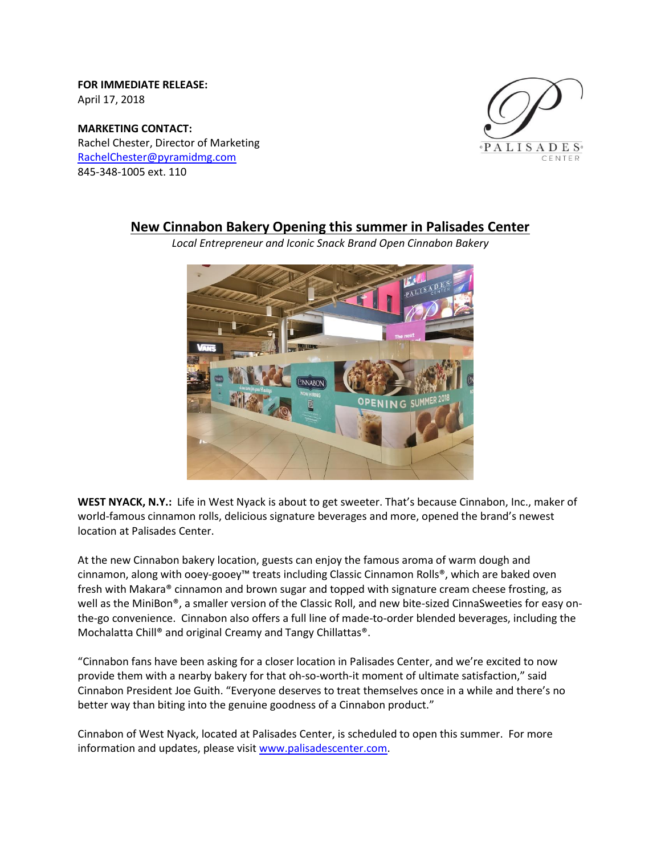**FOR IMMEDIATE RELEASE:**  April 17, 2018

**MARKETING CONTACT:** Rachel Chester, Director of Marketing [RachelChester@pyramidmg.com](mailto:RachelChester@pyramidmg.com) 845-348-1005 ext. 110



## **New Cinnabon Bakery Opening this summer in Palisades Center**

*Local Entrepreneur and Iconic Snack Brand Open Cinnabon Bakery*

**WEST NYACK, N.Y.:** Life in West Nyack is about to get sweeter. That's because Cinnabon, Inc., maker of world-famous cinnamon rolls, delicious signature beverages and more, opened the brand's newest location at Palisades Center.

At the new Cinnabon bakery location, guests can enjoy the famous aroma of warm dough and cinnamon, along with ooey-gooey™ treats including Classic Cinnamon Rolls®, which are baked oven fresh with Makara® cinnamon and brown sugar and topped with signature cream cheese frosting, as well as the MiniBon®, a smaller version of the Classic Roll, and new bite-sized CinnaSweeties for easy onthe-go convenience. Cinnabon also offers a full line of made-to-order blended beverages, including the Mochalatta Chill® and original Creamy and Tangy Chillattas®.

"Cinnabon fans have been asking for a closer location in Palisades Center, and we're excited to now provide them with a nearby bakery for that oh-so-worth-it moment of ultimate satisfaction," said Cinnabon President Joe Guith. "Everyone deserves to treat themselves once in a while and there's no better way than biting into the genuine goodness of a Cinnabon product."

Cinnabon of West Nyack, located at Palisades Center, is scheduled to open this summer. For more information and updates, please visit [www.palisadescenter.com.](http://www.palisadescenter.com/)